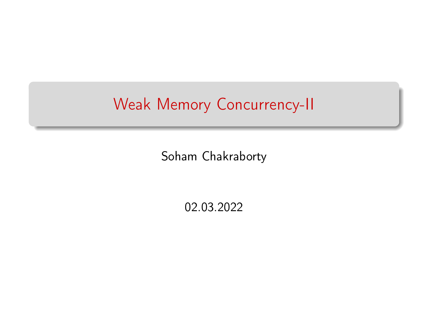## Weak Memory Concurrency-II

Soham Chakraborty

02.03.2022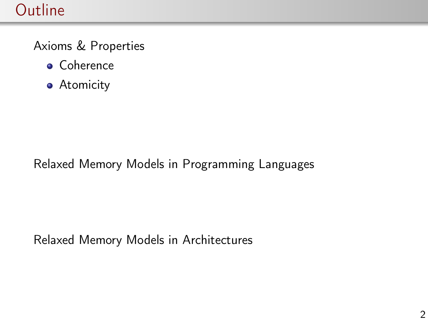## **Outline**

Axioms & Properties

- **•** Coherence
- **•** Atomicity

Relaxed Memory Models in Programming Languages

Relaxed Memory Models in Architectures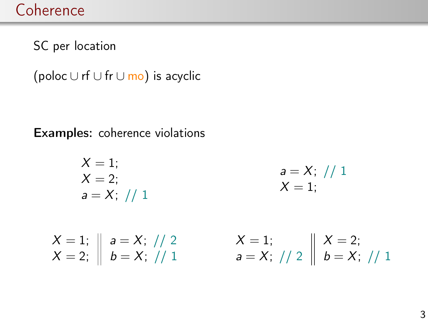SC per location

(poloc  $\cup$  rf  $\cup$  fr $\cup$  mo) is acyclic

Examples: coherence violations

$$
X = 1; \nX = 2; \na = X; // 1
$$

 $a = X$ ; // 1  $X = 1$ :

 $X=1;$  $X = 2;$  $a = X$ ; // 2  $b = X$ ; // 1  $X=1;$  $a = X$ ; // 2  $X = 2;$  $b = X$ ; // 1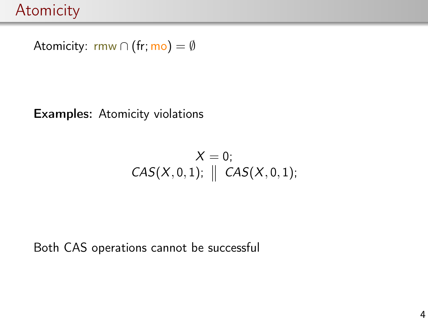Atomicity: rmw ∩ (fr; mo) =  $\emptyset$ 

Examples: Atomicity violations

$$
X = 0;
$$
  

$$
CAS(X, 0, 1); \parallel CAS(X, 0, 1);
$$

Both CAS operations cannot be successful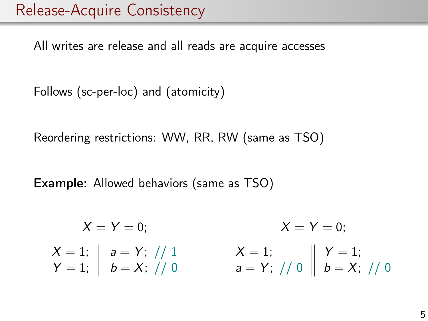All writes are release and all reads are acquire accesses

Follows (sc-per-loc) and (atomicity)

Reordering restrictions: WW, RR, RW (same as TSO)

Example: Allowed behaviors (same as TSO)

 $X = Y = 0$  $X=1;$  $Y=1;$  $a = Y; \; // \; 1$  $b = X; \; // \; 0$  $X = Y = 0$  $X=1;$  $a = Y; \; // \; 0$  $Y=1;$  $b = X; \; // \; 0$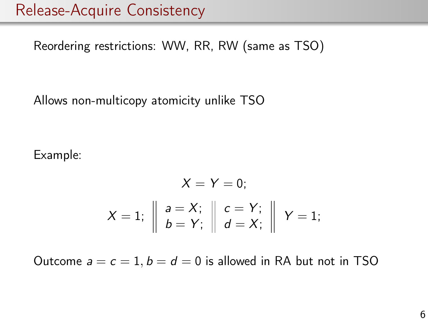Reordering restrictions: WW, RR, RW (same as TSO)

Allows non-multicopy atomicity unlike TSO

Example:

$$
X = Y = 0;
$$
  

$$
X = 1; \parallel \begin{array}{c} a = X; \\ b = Y; \end{array} \parallel \begin{array}{c} c = Y; \\ d = X; \end{array} \parallel Y = 1;
$$

Outcome  $a = c = 1$ ,  $b = d = 0$  is allowed in RA but not in TSO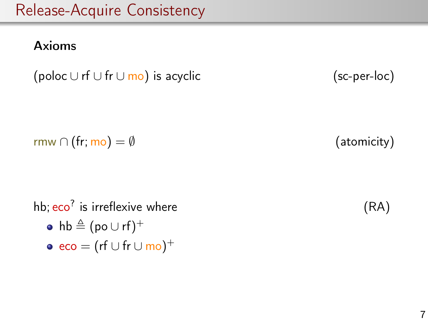#### Axioms

(poloc  $\cup$  rf  $\cup$  fr $\cup$  mo) is acyclic

$$
(sc\text{-}per\text{-}loc)
$$

 $\mathsf{rmw} \cap (\mathsf{fr}; \mathsf{mo}) = \emptyset$  (atomicity)

hb; eco<sup>?</sup> is irreflexive where (RA)  $\mathsf{hb} \triangleq (\mathsf{po} \cup \mathsf{rf})^+$  $\mathsf{eco} = (\mathsf{rf} \cup \mathsf{fr} \cup \mathsf{mo})^+$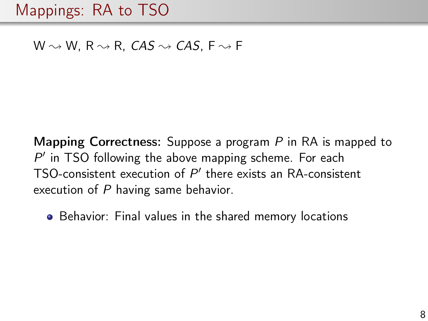## Mappings: RA to TSO

#### W  $\rightsquigarrow$  W, R  $\rightsquigarrow$  R, CAS  $\rightsquigarrow$  CAS, F  $\rightsquigarrow$  F

**Mapping Correctness:** Suppose a program  $P$  in RA is mapped to  $P'$  in TSO following the above mapping scheme. For each TSO-consistent execution of  $P'$  there exists an RA-consistent execution of P having same behavior.

• Behavior: Final values in the shared memory locations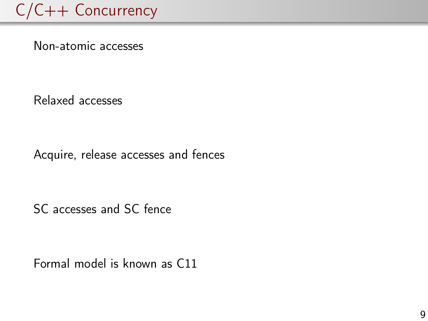# C/C++ Concurrency

Non-atomic accesses

Relaxed accesses

Acquire, release accesses and fences

SC accesses and SC fence

Formal model is known as C11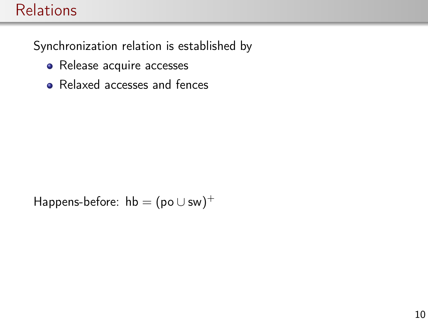### **Relations**

Synchronization relation is established by

- Release acquire accesses
- Relaxed accesses and fences

Happens-before:  $hb = (po \cup sw)^+$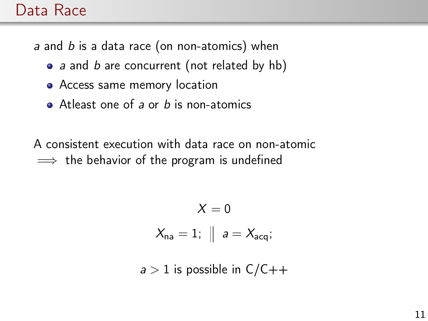### Data Race

a and b is a data race (on non-atomics) when

- a and b are concurrent (not related by hb)
- Access same memory location
- $\bullet$  Atleast one of a or b is non-atomics

A consistent execution with data race on non-atomic  $\implies$  the behavior of the program is undefined

$$
X = 0
$$
  

$$
X_{na} = 1; \parallel a = X_{acq};
$$

 $a > 1$  is possible in  $C/C++$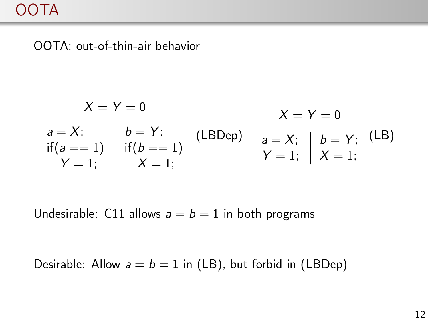OOTA: out-of-thin-air behavior

$$
X = Y = 0
$$
  
\n $a = X;$   
\n $\text{if } (a == 1) \quad \text{if } (b == 1) \quad \text{if } (b == 1) \quad \text{if } (b == 1) \quad \text{if } (b == 1) \quad \text{if } (b == 1) \quad \text{if } (b == 1) \quad \text{if } (b == 1) \quad \text{if } (b == 1) \quad \text{if } (b == 1) \quad \text{if } (b == 1) \quad \text{if } (b == 1) \quad \text{if } (b == 1) \quad \text{if } (b == 1) \quad \text{if } (b == 1) \quad \text{if } (b == 1) \quad \text{if } (b == 1) \quad \text{if } (b == 1) \quad \text{if } (b == 1) \quad \text{if } (b == 1) \quad \text{if } (b == 1) \quad \text{if } (b == 1) \quad \text{if } (b == 1) \quad \text{if } (b == 1) \quad \text{if } (b == 1) \quad \text{if } (b == 1) \quad \text{if } (b == 1) \quad \text{if } (b == 1) \quad \text{if } (b == 1) \quad \text{if } (b == 1) \quad \text{if } (b == 1) \quad \text{if } (b == 1) \quad \text{if } (b == 1) \quad \text{if } (b == 1) \quad \text{if } (b == 1) \quad \text{if } (b == 1) \quad \text{if } (b == 1) \quad \text{if } (b == 1) \quad \text{if } (b == 1) \quad \text{if } (b == 1) \quad \text{if } (b == 1) \quad \text{if } (b == 1) \quad \text{if } (b == 1) \quad \text{if } (b == 1) \quad \text{if } (b == 1) \quad \text{if } (b == 1) \quad \text{if } (b == 1) \quad \text{if } (b == 1) \quad \text{if } (b == 1) \quad \text{if } (b == 1) \quad \text{if } (b == 1) \quad \text{if } (b == 1) \quad \text{if } (b == 1) \quad \text{if } (b == 1) \quad \text{if } (b == 1) \quad \text{if } (b == 1) \quad \text{if } ($ 

 $\overline{\phantom{a}}$ 

Undesirable: C11 allows  $a = b = 1$  in both programs

Desirable: Allow  $a = b = 1$  in (LB), but forbid in (LBDep)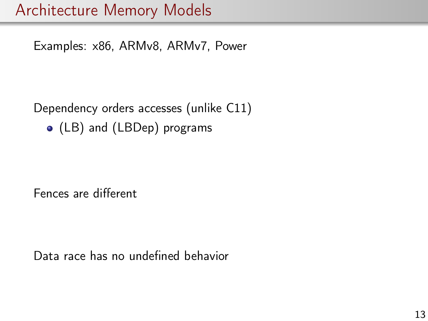Examples: x86, ARMv8, ARMv7, Power

Dependency orders accesses (unlike C11)

(LB) and (LBDep) programs

Fences are different

Data race has no undefined behavior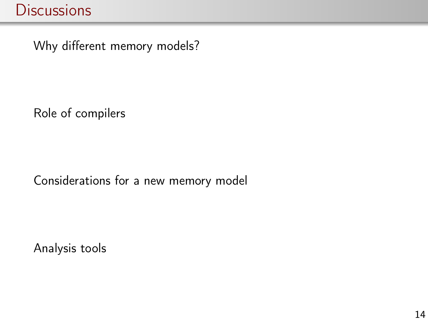Why different memory models?

Role of compilers

Considerations for a new memory model

Analysis tools